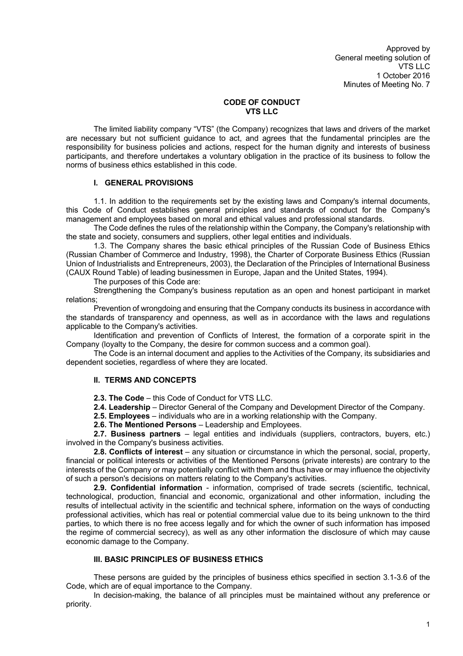## **CODE OF CONDUCT VTS LLC**

The limited liability company "VTS" (the Company) recognizes that laws and drivers of the market are necessary but not sufficient guidance to act, and agrees that the fundamental principles are the responsibility for business policies and actions, respect for the human dignity and interests of business participants, and therefore undertakes a voluntary obligation in the practice of its business to follow the norms of business ethics established in this code.

## **I. GENERAL PROVISIONS**

1.1. In addition to the requirements set by the existing laws and Company's internal documents, this Code of Conduct establishes general principles and standards of conduct for the Company's management and employees based on moral and ethical values and professional standards.

The Code defines the rules of the relationship within the Company, the Company's relationship with the state and society, consumers and suppliers, other legal entities and individuals.

1.3. The Company shares the basic ethical principles of the Russian Code of Business Ethics (Russian Chamber of Commerce and Industry, 1998), the Charter of Corporate Business Ethics (Russian Union of Industrialists and Entrepreneurs, 2003), the Declaration of the Principles of International Business (CAUX Round Table) of leading businessmen in Europe, Japan and the United States, 1994).

The purposes of this Code are:

Strengthening the Company's business reputation as an open and honest participant in market relations;

Prevention of wrongdoing and ensuring that the Company conducts its business in accordance with the standards of transparency and openness, as well as in accordance with the laws and regulations applicable to the Company's activities.

Identification and prevention of Conflicts of Interest, the formation of a corporate spirit in the Company (loyalty to the Company, the desire for common success and a common goal).

The Code is an internal document and applies to the Activities of the Company, its subsidiaries and dependent societies, regardless of where they are located.

## **II. TERMS AND CONCEPTS**

**2.3. The Code** – this Code of Conduct for VTS LLC.

**2.4. Leadership** – Director General of the Company and Development Director of the Company.

**2.5. Employees** – individuals who are in a working relationship with the Company.

**2.6. The Mentioned Persons** – Leadership and Employees.

**2.7. Business partners** – legal entities and individuals (suppliers, contractors, buyers, etc.) involved in the Company's business activities.

**2.8. Conflicts of interest** – any situation or circumstance in which the personal, social, property, financial or political interests or activities of the Mentioned Persons (private interests) are contrary to the interests of the Company or may potentially conflict with them and thus have or may influence the objectivity of such a person's decisions on matters relating to the Company's activities.

**2.9. Confidential information** - information, comprised of trade secrets (scientific, technical, technological, production, financial and economic, organizational and other information, including the results of intellectual activity in the scientific and technical sphere, information on the ways of conducting professional activities, which has real or potential commercial value due to its being unknown to the third parties, to which there is no free access legally and for which the owner of such information has imposed the regime of commercial secrecy), as well as any other information the disclosure of which may cause economic damage to the Company.

# **III. BASIC PRINCIPLES OF BUSINESS ETHICS**

These persons are guided by the principles of business ethics specified in section 3.1-3.6 of the Code, which are of equal importance to the Company.

In decision-making, the balance of all principles must be maintained without any preference or priority.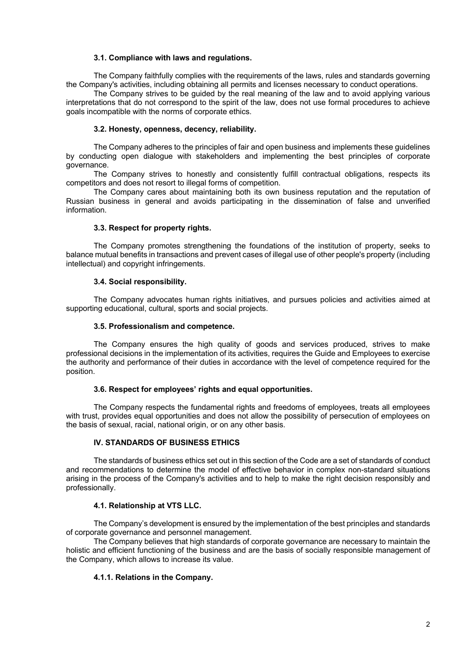## **3.1. Compliance with laws and regulations.**

The Company faithfully complies with the requirements of the laws, rules and standards governing the Company's activities, including obtaining all permits and licenses necessary to conduct operations.

The Company strives to be guided by the real meaning of the law and to avoid applying various interpretations that do not correspond to the spirit of the law, does not use formal procedures to achieve goals incompatible with the norms of corporate ethics.

### **3.2. Honesty, openness, decency, reliability.**

The Company adheres to the principles of fair and open business and implements these guidelines by conducting open dialogue with stakeholders and implementing the best principles of corporate governance.

The Company strives to honestly and consistently fulfill contractual obligations, respects its competitors and does not resort to illegal forms of competition.

The Company cares about maintaining both its own business reputation and the reputation of Russian business in general and avoids participating in the dissemination of false and unverified information.

## **3.3. Respect for property rights.**

The Company promotes strengthening the foundations of the institution of property, seeks to balance mutual benefits in transactions and prevent cases of illegal use of other people's property (including intellectual) and copyright infringements.

## **3.4. Social responsibility.**

The Company advocates human rights initiatives, and pursues policies and activities aimed at supporting educational, cultural, sports and social projects.

## **3.5. Professionalism and competence.**

The Company ensures the high quality of goods and services produced, strives to make professional decisions in the implementation of its activities, requires the Guide and Employees to exercise the authority and performance of their duties in accordance with the level of competence required for the position.

#### **3.6. Respect for employees' rights and equal opportunities.**

The Company respects the fundamental rights and freedoms of employees, treats all employees with trust, provides equal opportunities and does not allow the possibility of persecution of employees on the basis of sexual, racial, national origin, or on any other basis.

## **IV. STANDARDS OF BUSINESS ETHICS**

The standards of business ethics set out in this section of the Code are a set of standards of conduct and recommendations to determine the model of effective behavior in complex non-standard situations arising in the process of the Company's activities and to help to make the right decision responsibly and professionally.

## **4.1. Relationship at VTS LLC.**

The Company's development is ensured by the implementation of the best principles and standards of corporate governance and personnel management.

The Company believes that high standards of corporate governance are necessary to maintain the holistic and efficient functioning of the business and are the basis of socially responsible management of the Company, which allows to increase its value.

## **4.1.1. Relations in the Company.**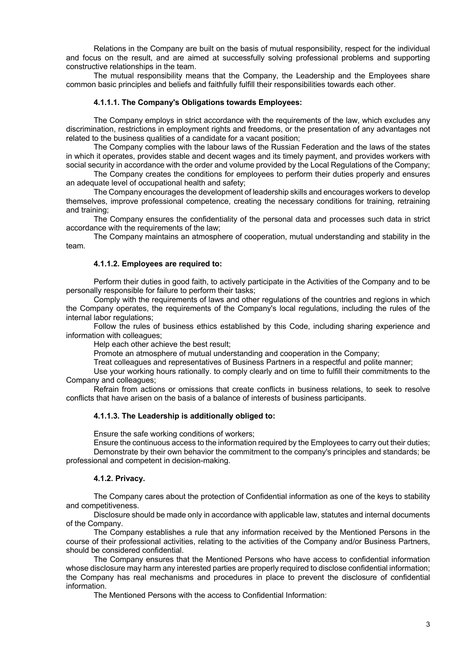Relations in the Company are built on the basis of mutual responsibility, respect for the individual and focus on the result, and are aimed at successfully solving professional problems and supporting constructive relationships in the team.

The mutual responsibility means that the Company, the Leadership and the Employees share common basic principles and beliefs and faithfully fulfill their responsibilities towards each other.

## **4.1.1.1. The Company's Obligations towards Employees:**

The Company employs in strict accordance with the requirements of the law, which excludes any discrimination, restrictions in employment rights and freedoms, or the presentation of any advantages not related to the business qualities of a candidate for a vacant position;

The Company complies with the labour laws of the Russian Federation and the laws of the states in which it operates, provides stable and decent wages and its timely payment, and provides workers with social security in accordance with the order and volume provided by the Local Regulations of the Company;

The Company creates the conditions for employees to perform their duties properly and ensures an adequate level of occupational health and safety;

The Company encourages the development of leadership skills and encourages workers to develop themselves, improve professional competence, creating the necessary conditions for training, retraining and training;

The Company ensures the confidentiality of the personal data and processes such data in strict accordance with the requirements of the law;

The Company maintains an atmosphere of cooperation, mutual understanding and stability in the team.

#### **4.1.1.2. Employees are required to:**

Perform their duties in good faith, to actively participate in the Activities of the Company and to be personally responsible for failure to perform their tasks;

Comply with the requirements of laws and other regulations of the countries and regions in which the Company operates, the requirements of the Company's local regulations, including the rules of the internal labor regulations;

Follow the rules of business ethics established by this Code, including sharing experience and information with colleagues;

Help each other achieve the best result;

Promote an atmosphere of mutual understanding and cooperation in the Company;

Treat colleagues and representatives of Business Partners in a respectful and polite manner;

Use your working hours rationally. to comply clearly and on time to fulfill their commitments to the Company and colleagues;

Refrain from actions or omissions that create conflicts in business relations, to seek to resolve conflicts that have arisen on the basis of a balance of interests of business participants.

## **4.1.1.3. The Leadership is additionally obliged to:**

Ensure the safe working conditions of workers;

Ensure the continuous access to the information required by the Employees to carry out their duties; Demonstrate by their own behavior the commitment to the company's principles and standards; be professional and competent in decision-making.

#### **4.1.2. Privacy.**

The Company cares about the protection of Confidential information as one of the keys to stability and competitiveness.

Disclosure should be made only in accordance with applicable law, statutes and internal documents of the Company.

The Company establishes a rule that any information received by the Mentioned Persons in the course of their professional activities, relating to the activities of the Company and/or Business Partners, should be considered confidential.

The Company ensures that the Mentioned Persons who have access to confidential information whose disclosure may harm any interested parties are properly required to disclose confidential information; the Company has real mechanisms and procedures in place to prevent the disclosure of confidential information.

The Mentioned Persons with the access to Confidential Information: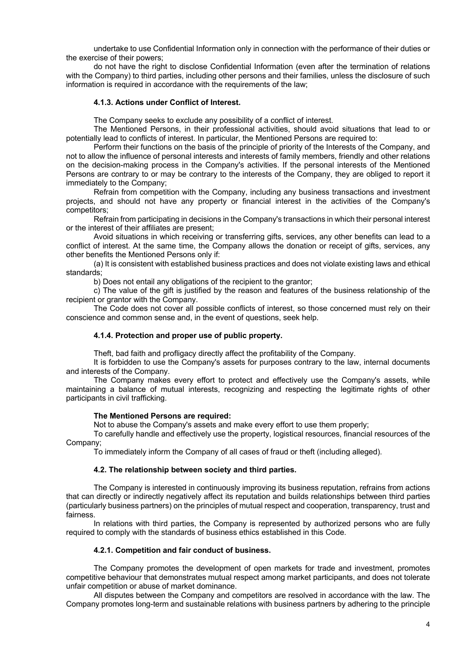undertake to use Confidential Information only in connection with the performance of their duties or the exercise of their powers;

do not have the right to disclose Confidential Information (even after the termination of relations with the Company) to third parties, including other persons and their families, unless the disclosure of such information is required in accordance with the requirements of the law:

### **4.1.3. Actions under Conflict of Interest.**

The Company seeks to exclude any possibility of a conflict of interest.

The Mentioned Persons, in their professional activities, should avoid situations that lead to or potentially lead to conflicts of interest. In particular, the Mentioned Persons are required to:

Perform their functions on the basis of the principle of priority of the Interests of the Company, and not to allow the influence of personal interests and interests of family members, friendly and other relations on the decision-making process in the Company's activities. If the personal interests of the Mentioned Persons are contrary to or may be contrary to the interests of the Company, they are obliged to report it immediately to the Company;

Refrain from competition with the Company, including any business transactions and investment projects, and should not have any property or financial interest in the activities of the Company's competitors;

Refrain from participating in decisions in the Company's transactions in which their personal interest or the interest of their affiliates are present;

Avoid situations in which receiving or transferring gifts, services, any other benefits can lead to a conflict of interest. At the same time, the Company allows the donation or receipt of gifts, services, any other benefits the Mentioned Persons only if:

(a) It is consistent with established business practices and does not violate existing laws and ethical standards;

b) Does not entail any obligations of the recipient to the grantor;

c) The value of the gift is justified by the reason and features of the business relationship of the recipient or grantor with the Company.

The Code does not cover all possible conflicts of interest, so those concerned must rely on their conscience and common sense and, in the event of questions, seek help.

#### **4.1.4. Protection and proper use of public property.**

Theft, bad faith and profligacy directly affect the profitability of the Company.

It is forbidden to use the Company's assets for purposes contrary to the law, internal documents and interests of the Company.

The Company makes every effort to protect and effectively use the Company's assets, while maintaining a balance of mutual interests, recognizing and respecting the legitimate rights of other participants in civil trafficking.

#### **The Mentioned Persons are required:**

Not to abuse the Company's assets and make every effort to use them properly;

To carefully handle and effectively use the property, logistical resources, financial resources of the Company;

To immediately inform the Company of all cases of fraud or theft (including alleged).

#### **4.2. The relationship between society and third parties.**

The Company is interested in continuously improving its business reputation, refrains from actions that can directly or indirectly negatively affect its reputation and builds relationships between third parties (particularly business partners) on the principles of mutual respect and cooperation, transparency, trust and fairness.

In relations with third parties, the Company is represented by authorized persons who are fully required to comply with the standards of business ethics established in this Code.

#### **4.2.1. Competition and fair conduct of business.**

The Company promotes the development of open markets for trade and investment, promotes competitive behaviour that demonstrates mutual respect among market participants, and does not tolerate unfair competition or abuse of market dominance.

All disputes between the Company and competitors are resolved in accordance with the law. The Company promotes long-term and sustainable relations with business partners by adhering to the principle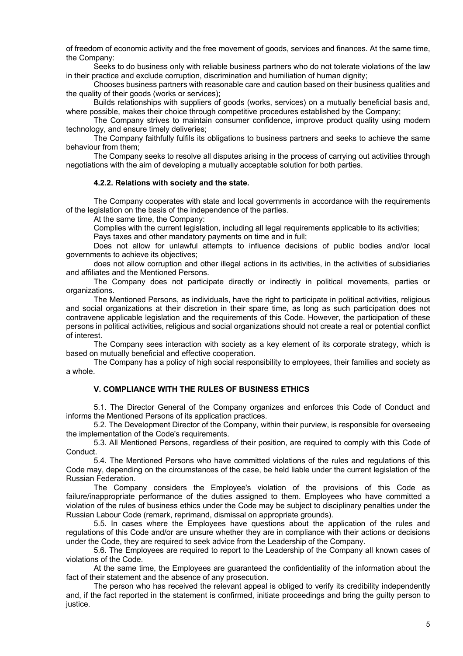of freedom of economic activity and the free movement of goods, services and finances. At the same time, the Company:

Seeks to do business only with reliable business partners who do not tolerate violations of the law in their practice and exclude corruption, discrimination and humiliation of human dignity;

Chooses business partners with reasonable care and caution based on their business qualities and the quality of their goods (works or services);

Builds relationships with suppliers of goods (works, services) on a mutually beneficial basis and, where possible, makes their choice through competitive procedures established by the Company;

The Company strives to maintain consumer confidence, improve product quality using modern technology, and ensure timely deliveries;

The Company faithfully fulfils its obligations to business partners and seeks to achieve the same behaviour from them;

The Company seeks to resolve all disputes arising in the process of carrying out activities through negotiations with the aim of developing a mutually acceptable solution for both parties.

#### **4.2.2. Relations with society and the state.**

The Company cooperates with state and local governments in accordance with the requirements of the legislation on the basis of the independence of the parties.

At the same time, the Company:

Complies with the current legislation, including all legal requirements applicable to its activities;

Pays taxes and other mandatory payments on time and in full;

Does not allow for unlawful attempts to influence decisions of public bodies and/or local governments to achieve its objectives;

does not allow corruption and other illegal actions in its activities, in the activities of subsidiaries and affiliates and the Mentioned Persons.

The Company does not participate directly or indirectly in political movements, parties or organizations.

The Mentioned Persons, as individuals, have the right to participate in political activities, religious and social organizations at their discretion in their spare time, as long as such participation does not contravene applicable legislation and the requirements of this Code. However, the participation of these persons in political activities, religious and social organizations should not create a real or potential conflict of interest.

The Company sees interaction with society as a key element of its corporate strategy, which is based on mutually beneficial and effective cooperation.

The Company has a policy of high social responsibility to employees, their families and society as a whole.

## **V. COMPLIANCE WITH THE RULES OF BUSINESS ETHICS**

5.1. The Director General of the Company organizes and enforces this Code of Conduct and informs the Mentioned Persons of its application practices.

5.2. The Development Director of the Company, within their purview, is responsible for overseeing the implementation of the Code's requirements.

5.3. All Mentioned Persons, regardless of their position, are required to comply with this Code of Conduct.

5.4. The Mentioned Persons who have committed violations of the rules and regulations of this Code may, depending on the circumstances of the case, be held liable under the current legislation of the Russian Federation.

The Company considers the Employee's violation of the provisions of this Code as failure/inappropriate performance of the duties assigned to them. Employees who have committed a violation of the rules of business ethics under the Code may be subject to disciplinary penalties under the Russian Labour Code (remark, reprimand, dismissal on appropriate grounds).

5.5. In cases where the Employees have questions about the application of the rules and regulations of this Code and/or are unsure whether they are in compliance with their actions or decisions under the Code, they are required to seek advice from the Leadership of the Company.

5.6. The Employees are required to report to the Leadership of the Company all known cases of violations of the Code.

At the same time, the Employees are guaranteed the confidentiality of the information about the fact of their statement and the absence of any prosecution.

The person who has received the relevant appeal is obliged to verify its credibility independently and, if the fact reported in the statement is confirmed, initiate proceedings and bring the guilty person to justice.